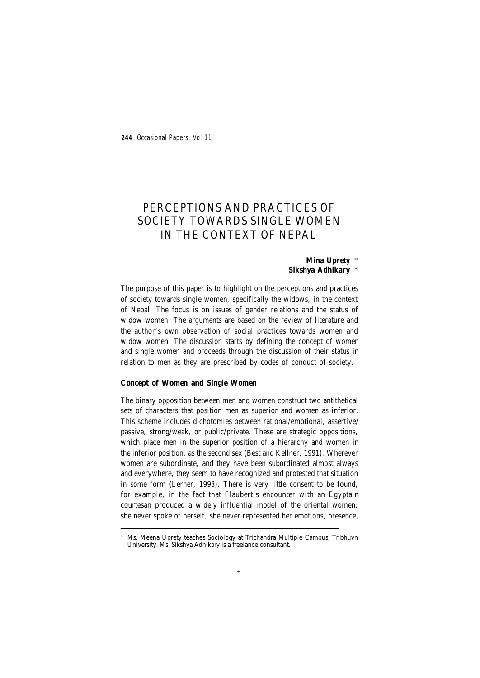# PERCEPTIONS AND PRACTICES OF SOCIETY TOWARDS SINGLE WOMEN IN THE CONTEXT OF NEPAL

## **Mina Uprety** \* **Sikshya Adhikary** \*

The purpose of this paper is to highlight on the perceptions and practices of society towards single women, specifically the widows, in the context of Nepal. The focus is on issues of gender relations and the status of widow women. The arguments are based on the review of literature and the author's own observation of social practices towards women and widow women. The discussion starts by defining the concept of women and single women and proceeds through the discussion of their status in relation to men as they are prescribed by codes of conduct of society.

## **Concept of Women and Single Women**

The binary opposition between men and women construct two antithetical sets of characters that position men as superior and women as inferior. This scheme includes dichotomies between rational/emotional, assertive/ passive, strong/weak, or public/private. These are strategic oppositions, which place men in the superior position of a hierarchy and women in the inferior position, as the second sex (Best and Kellner, 1991). Wherever women are subordinate, and they have been subordinated almost always and everywhere, they seem to have recognized and protested that situation in some form (Lerner, 1993). There is very little consent to be found, for example, in the fact that Flaubert's encounter with an Egyptain courtesan produced a widely influential model of the oriental women: she never spoke of herself, she never represented her emotions, presence,

<sup>\*</sup> Ms. Meena Uprety teaches Sociology at Trichandra Multiple Campus, Tribhuvn University. Ms. Sikshya Adhikary is a freelance consultant.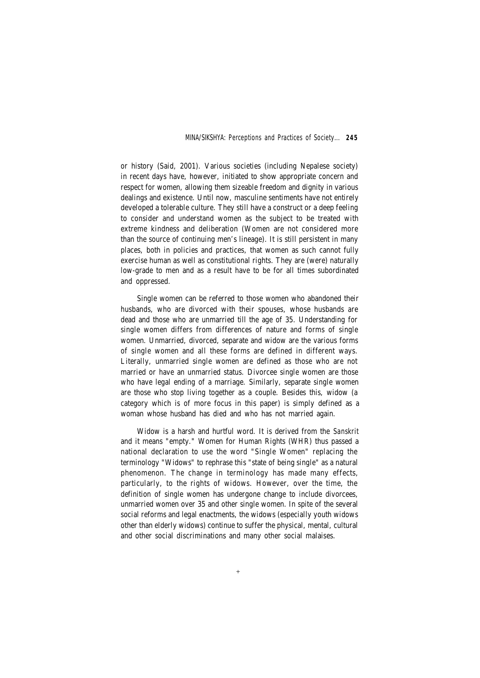or history (Said, 2001). Various societies (including Nepalese society) in recent days have, however, initiated to show appropriate concern and respect for women, allowing them sizeable freedom and dignity in various dealings and existence. Until now, masculine sentiments have not entirely developed a tolerable culture. They still have a construct or a deep feeling to consider and understand women as the subject to be treated with extreme kindness and deliberation (Women are not considered more than the source of continuing men's lineage). It is still persistent in many places, both in policies and practices, that women as such cannot fully exercise human as well as constitutional rights. They are (were) naturally low-grade to men and as a result have to be for all times subordinated and oppressed.

Single women can be referred to those women who abandoned their husbands, who are divorced with their spouses, whose husbands are dead and those who are unmarried till the age of 35. Understanding for single women differs from differences of nature and forms of single women. Unmarried, divorced, separate and widow are the various forms of single women and all these forms are defined in different ways. Literally, unmarried single women are defined as those who are not married or have an unmarried status. Divorcee single women are those who have legal ending of a marriage. Similarly, separate single women are those who stop living together as a couple. Besides this, widow (a category which is of more focus in this paper) is simply defined as a woman whose husband has died and who has not married again.

Widow is a harsh and hurtful word. It is derived from the *Sanskrit* and it means "empty." Women for Human Rights (WHR) thus passed a national declaration to use the word "Single Women" replacing the terminology "Widows" to rephrase this "state of being single" as a natural phenomenon. The change in terminology has made many effects, particularly, to the rights of widows. However, over the time, the definition of single women has undergone change to include divorcees, unmarried women over 35 and other single women. In spite of the several social reforms and legal enactments, the widows (especially youth widows other than elderly widows) continue to suffer the physical, mental, cultural and other social discriminations and many other social malaises.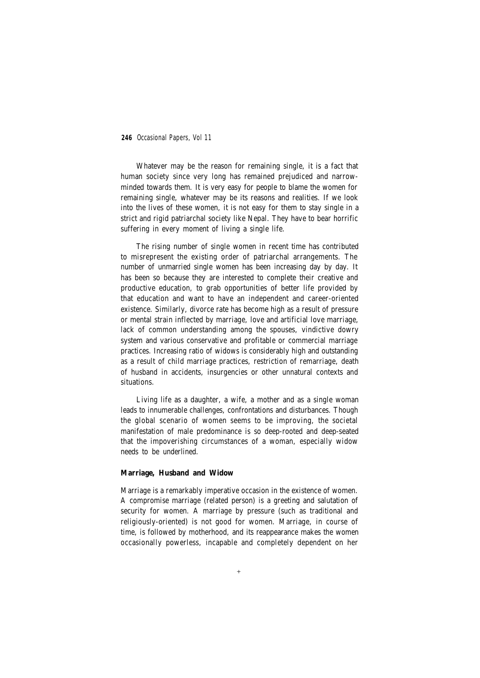Whatever may be the reason for remaining single, it is a fact that human society since very long has remained prejudiced and narrowminded towards them. It is very easy for people to blame the women for remaining single, whatever may be its reasons and realities. If we look into the lives of these women, it is not easy for them to stay single in a strict and rigid patriarchal society like Nepal. They have to bear horrific suffering in every moment of living a single life.

The rising number of single women in recent time has contributed to misrepresent the existing order of patriarchal arrangements. The number of unmarried single women has been increasing day by day. It has been so because they are interested to complete their creative and productive education, to grab opportunities of better life provided by that education and want to have an independent and career-oriented existence. Similarly, divorce rate has become high as a result of pressure or mental strain inflected by marriage, love and artificial love marriage, lack of common understanding among the spouses, vindictive dowry system and various conservative and profitable or commercial marriage practices. Increasing ratio of widows is considerably high and outstanding as a result of child marriage practices, restriction of remarriage, death of husband in accidents, insurgencies or other unnatural contexts and situations.

Living life as a daughter, a wife, a mother and as a single woman leads to innumerable challenges, confrontations and disturbances. Though the global scenario of women seems to be improving, the societal manifestation of male predominance is so deep-rooted and deep-seated that the impoverishing circumstances of a woman, especially widow needs to be underlined.

## **Marriage, Husband and Widow**

Marriage is a remarkably imperative occasion in the existence of women. A compromise marriage (related person) is a greeting and salutation of security for women. A marriage by pressure (such as traditional and religiously-oriented) is not good for women. Marriage, in course of time, is followed by motherhood, and its reappearance makes the women occasionally powerless, incapable and completely dependent on her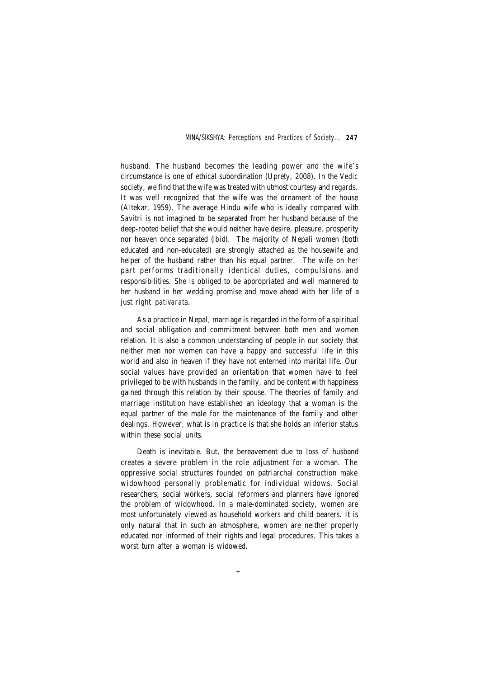husband. The husband becomes the leading power and the wife's circumstance is one of ethical subordination (Uprety, 2008). In the *Vedic* society, we find that the wife was treated with utmost courtesy and regards. It was well recognized that the wife was the ornament of the house (Altekar, 1959). The average Hindu wife who is ideally compared with S*avitri* is not imagined to be separated from her husband because of the deep-rooted belief that she would neither have desire, pleasure, prosperity nor heaven once separated (*ibid*). The majority of Nepali women (both educated and non-educated) are strongly attached as the housewife and helper of the husband rather than his equal partner. The wife on her part performs traditionally identical duties, compulsions and responsibilities. She is obliged to be appropriated and well mannered to her husband in her wedding promise and move ahead with her life of a just right *pativarata*.

As a practice in Nepal, marriage is regarded in the form of a spiritual and social obligation and commitment between both men and women relation. It is also a common understanding of people in our society that neither men nor women can have a happy and successful life in this world and also in heaven if they have not enterned into marital life. Our social values have provided an orientation that women have to feel privileged to be with husbands in the family, and be content with happiness gained through this relation by their spouse. The theories of family and marriage institution have established an ideology that a woman is the equal partner of the male for the maintenance of the family and other dealings. However, what is in practice is that she holds an inferior status within these social units.

Death is inevitable. But, the bereavement due to loss of husband creates a severe problem in the role adjustment for a woman. The oppressive social structures founded on patriarchal construction make widowhood personally problematic for individual widows. Social researchers, social workers, social reformers and planners have ignored the problem of widowhood. In a male-dominated society, women are most unfortunately viewed as household workers and child bearers. It is only natural that in such an atmosphere, women are neither properly educated nor informed of their rights and legal procedures. This takes a worst turn after a woman is widowed.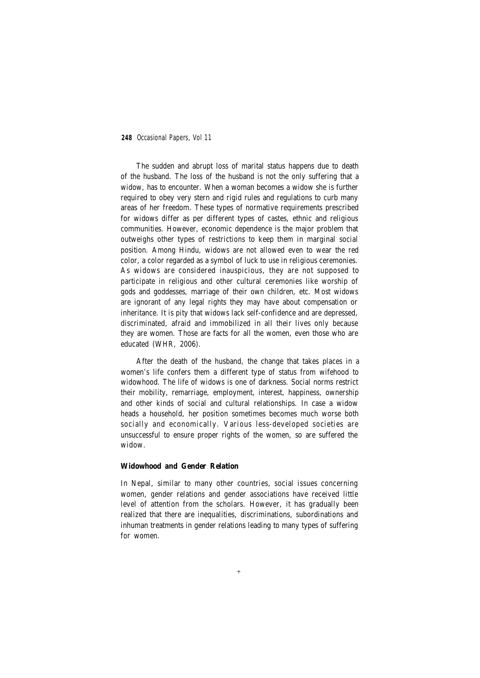The sudden and abrupt loss of marital status happens due to death of the husband. The loss of the husband is not the only suffering that a widow, has to encounter. When a woman becomes a widow she is further required to obey very stern and rigid rules and regulations to curb many areas of her freedom. These types of normative requirements prescribed for widows differ as per different types of castes, ethnic and religious communities. However, economic dependence is the major problem that outweighs other types of restrictions to keep them in marginal social position. Among Hindu, widows are not allowed even to wear the red color, a color regarded as a symbol of luck to use in religious ceremonies. As widows are considered inauspicious, they are not supposed to participate in religious and other cultural ceremonies like worship of gods and goddesses, marriage of their own children, etc. Most widows are ignorant of any legal rights they may have about compensation or inheritance. It is pity that widows lack self-confidence and are depressed, discriminated, afraid and immobilized in all their lives only because they are women. Those are facts for all the women, even those who are educated (WHR, 2006).

After the death of the husband, the change that takes places in a women's life confers them a different type of status from wifehood to widowhood. The life of widows is one of darkness. Social norms restrict their mobility, remarriage, employment, interest, happiness, ownership and other kinds of social and cultural relationships. In case a widow heads a household, her position sometimes becomes much worse both socially and economically. Various less-developed societies are unsuccessful to ensure proper rights of the women, so are suffered the widow.

## **Widowhood and Gender Relation**

In Nepal, similar to many other countries, social issues concerning women, gender relations and gender associations have received little level of attention from the scholars. However, it has gradually been realized that there are inequalities, discriminations, subordinations and inhuman treatments in gender relations leading to many types of suffering for women.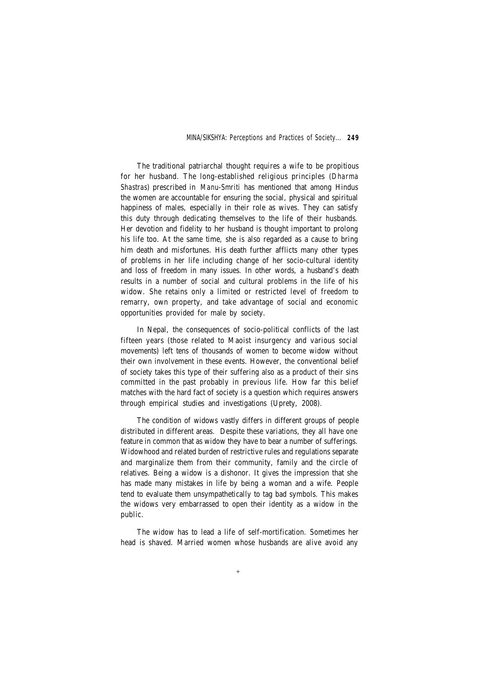The traditional patriarchal thought requires a wife to be propitious for her husband. The long-established religious principles *(Dharma Shastras)* prescribed in *Manu-Smriti* has mentioned that among Hindus the women are accountable for ensuring the social, physical and spiritual happiness of males, especially in their role as wives. They can satisfy this duty through dedicating themselves to the life of their husbands. Her devotion and fidelity to her husband is thought important to prolong his life too. At the same time, she is also regarded as a cause to bring him death and misfortunes. His death further afflicts many other types of problems in her life including change of her socio-cultural identity and loss of freedom in many issues. In other words, a husband's death results in a number of social and cultural problems in the life of his widow. She retains only a limited or restricted level of freedom to remarry, own property, and take advantage of social and economic opportunities provided for male by society.

In Nepal, the consequences of socio-political conflicts of the last fifteen years (those related to Maoist insurgency and various social movements) left tens of thousands of women to become widow without their own involvement in these events. However, the conventional belief of society takes this type of their suffering also as a product of their sins committed in the past probably in previous life. How far this belief matches with the hard fact of society is a question which requires answers through empirical studies and investigations (Uprety, 2008).

The condition of widows vastly differs in different groups of people distributed in different areas. Despite these variations, they all have one feature in common that as widow they have to bear a number of sufferings. Widowhood and related burden of restrictive rules and regulations separate and marginalize them from their community, family and the circle of relatives. Being a widow is a dishonor. It gives the impression that she has made many mistakes in life by being a woman and a wife. People tend to evaluate them unsympathetically to tag bad symbols. This makes the widows very embarrassed to open their identity as a widow in the public.

The widow has to lead a life of self-mortification. Sometimes her head is shaved. Married women whose husbands are alive avoid any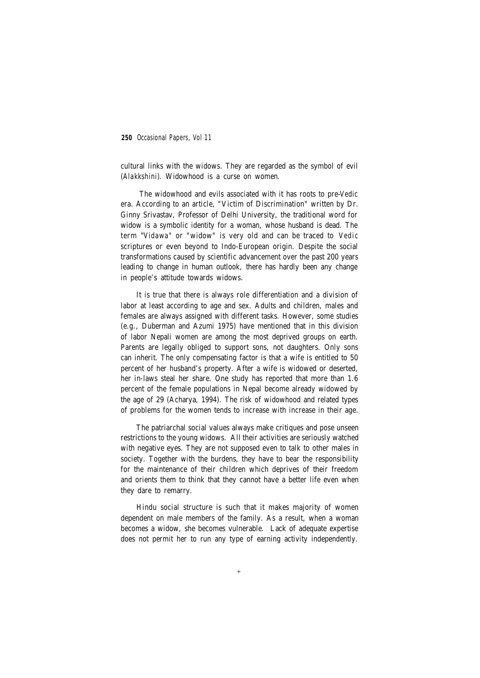cultural links with the widows. They are regarded as the symbol of evil (*Alakkshini)*. Widowhood is a curse on women.

 The widowhood and evils associated with it has roots to pre-*Vedic* era. According to an article, "Victim of Discrimination" written by Dr. Ginny Srivastav, Professor of Delhi University, the traditional word for widow is a symbolic identity for a woman, whose husband is dead. The term "*Vidawa"* or "widow" is very old and can be traced to *Vedic* scriptures or even beyond to Indo-European origin. Despite the social transformations caused by scientific advancement over the past 200 years leading to change in human outlook, there has hardly been any change in people's attitude towards widows.

It is true that there is always role differentiation and a division of labor at least according to age and sex. Adults and children, males and females are always assigned with different tasks. However, some studies (e.g., Duberman and Azumi 1975) have mentioned that in this division of labor Nepali women are among the most deprived groups on earth. Parents are legally obliged to support sons, not daughters. Only sons can inherit. The only compensating factor is that a wife is entitled to 50 percent of her husband's property. After a wife is widowed or deserted, her in-laws steal her share. One study has reported that more than 1.6 percent of the female populations in Nepal become already widowed by the age of 29 (Acharya, 1994). The risk of widowhood and related types of problems for the women tends to increase with increase in their age.

The patriarchal social values always make critiques and pose unseen restrictions to the young widows. All their activities are seriously watched with negative eyes. They are not supposed even to talk to other males in society. Together with the burdens, they have to bear the responsibility for the maintenance of their children which deprives of their freedom and orients them to think that they cannot have a better life even when they dare to remarry.

Hindu social structure is such that it makes majority of women dependent on male members of the family. As a result, when a woman becomes a widow, she becomes vulnerable. Lack of adequate expertise does not permit her to run any type of earning activity independently.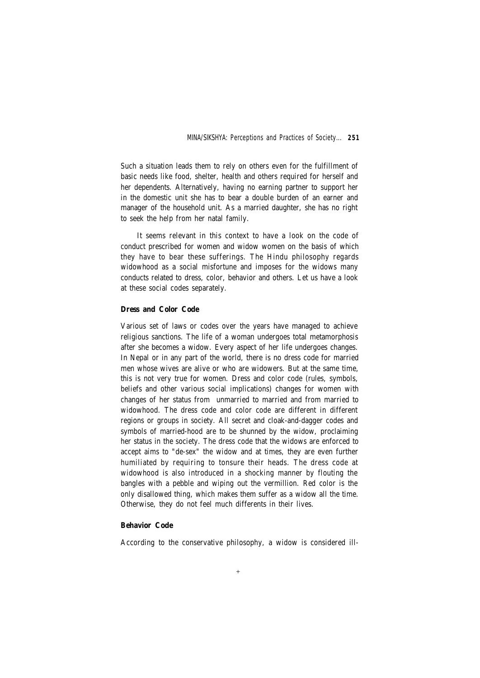Such a situation leads them to rely on others even for the fulfillment of basic needs like food, shelter, health and others required for herself and her dependents. Alternatively, having no earning partner to support her in the domestic unit she has to bear a double burden of an earner and manager of the household unit. As a married daughter, she has no right to seek the help from her natal family.

It seems relevant in this context to have a look on the code of conduct prescribed for women and widow women on the basis of which they have to bear these sufferings. The Hindu philosophy regards widowhood as a social misfortune and imposes for the widows many conducts related to dress, color, behavior and others. Let us have a look at these social codes separately.

### **Dress and Color Code**

Various set of laws or codes over the years have managed to achieve religious sanctions. The life of a woman undergoes total metamorphosis after she becomes a widow. Every aspect of her life undergoes changes. In Nepal or in any part of the world, there is no dress code for married men whose wives are alive or who are widowers. But at the same time, this is not very true for women. Dress and color code (rules, symbols, beliefs and other various social implications) changes for women with changes of her status from unmarried to married and from married to widowhood. The dress code and color code are different in different regions or groups in society. All secret and cloak-and-dagger codes and symbols of married-hood are to be shunned by the widow, proclaiming her status in the society. The dress code that the widows are enforced to accept aims to "de-sex" the widow and at times, they are even further humiliated by requiring to tonsure their heads. The dress code at widowhood is also introduced in a shocking manner by flouting the bangles with a pebble and wiping out the vermillion. Red color is the only disallowed thing, which makes them suffer as a widow all the time. Otherwise, they do not feel much differents in their lives.

## **Behavior Code**

According to the conservative philosophy, a widow is considered ill-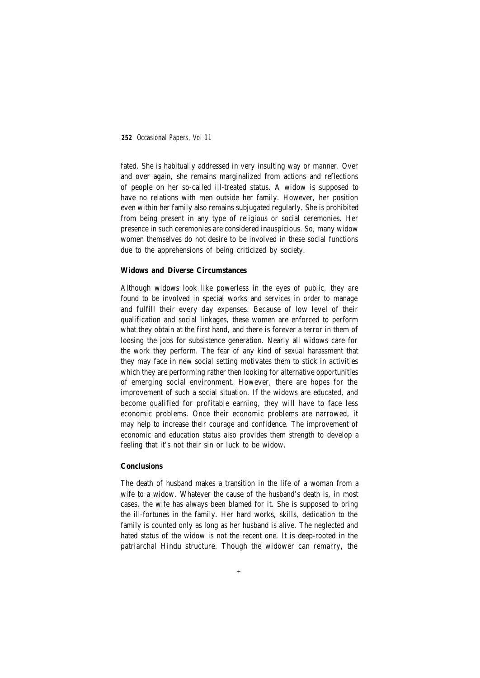fated. She is habitually addressed in very insulting way or manner. Over and over again, she remains marginalized from actions and reflections of people on her so-called ill-treated status. A widow is supposed to have no relations with men outside her family. However, her position even within her family also remains subjugated regularly. She is prohibited from being present in any type of religious or social ceremonies. Her presence in such ceremonies are considered inauspicious. So, many widow women themselves do not desire to be involved in these social functions due to the apprehensions of being criticized by society.

## **Widows and Diverse Circumstances**

Although widows look like powerless in the eyes of public, they are found to be involved in special works and services in order to manage and fulfill their every day expenses. Because of low level of their qualification and social linkages, these women are enforced to perform what they obtain at the first hand, and there is forever a terror in them of loosing the jobs for subsistence generation. Nearly all widows care for the work they perform. The fear of any kind of sexual harassment that they may face in new social setting motivates them to stick in activities which they are performing rather then looking for alternative opportunities of emerging social environment. However, there are hopes for the improvement of such a social situation. If the widows are educated, and become qualified for profitable earning, they will have to face less economic problems. Once their economic problems are narrowed, it may help to increase their courage and confidence. The improvement of economic and education status also provides them strength to develop a feeling that it's not their sin or luck to be widow.

## **Conclusions**

The death of husband makes a transition in the life of a woman from a wife to a widow. Whatever the cause of the husband's death is, in most cases, the wife has always been blamed for it. She is supposed to bring the ill-fortunes in the family. Her hard works, skills, dedication to the family is counted only as long as her husband is alive. The neglected and hated status of the widow is not the recent one. It is deep-rooted in the patriarchal Hindu structure. Though the widower can remarry, the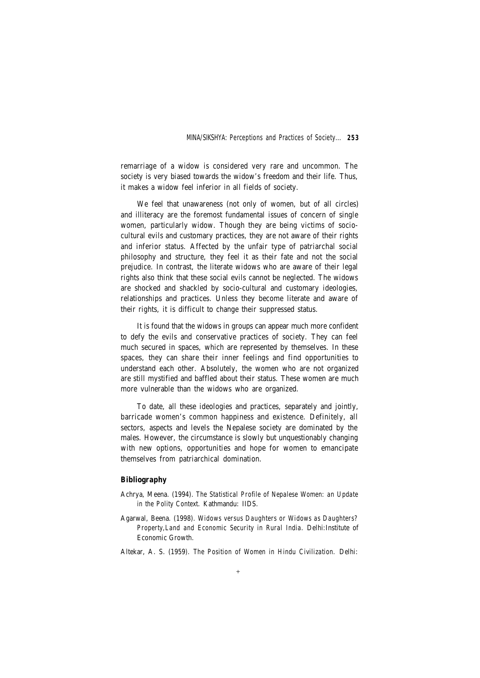remarriage of a widow is considered very rare and uncommon. The society is very biased towards the widow's freedom and their life. Thus, it makes a widow feel inferior in all fields of society.

We feel that unawareness (not only of women, but of all circles) and illiteracy are the foremost fundamental issues of concern of single women, particularly widow. Though they are being victims of sociocultural evils and customary practices, they are not aware of their rights and inferior status. Affected by the unfair type of patriarchal social philosophy and structure, they feel it as their fate and not the social prejudice. In contrast, the literate widows who are aware of their legal rights also think that these social evils cannot be neglected. The widows are shocked and shackled by socio-cultural and customary ideologies, relationships and practices. Unless they become literate and aware of their rights, it is difficult to change their suppressed status.

It is found that the widows in groups can appear much more confident to defy the evils and conservative practices of society. They can feel much secured in spaces, which are represented by themselves. In these spaces, they can share their inner feelings and find opportunities to understand each other. Absolutely, the women who are not organized are still mystified and baffled about their status. These women are much more vulnerable than the widows who are organized.

To date, all these ideologies and practices, separately and jointly, barricade women's common happiness and existence. Definitely, all sectors, aspects and levels the Nepalese society are dominated by the males. However, the circumstance is slowly but unquestionably changing with new options, opportunities and hope for women to emancipate themselves from patriarchical domination.

## **Bibliography**

- Achrya, Meena. (1994). *The Statistical Profile of Nepalese Women: an Update in the Polity Context*. Kathmandu: IIDS.
- Agarwal, Beena. (1998). *Widows versus Daughters or Widows as Daughters? Property,Land and Economic Security in Rural India*. Delhi:Institute of Economic Growth.
- Altekar, A. S. (1959*). The Position of Women in Hindu Civilization.* Delhi: